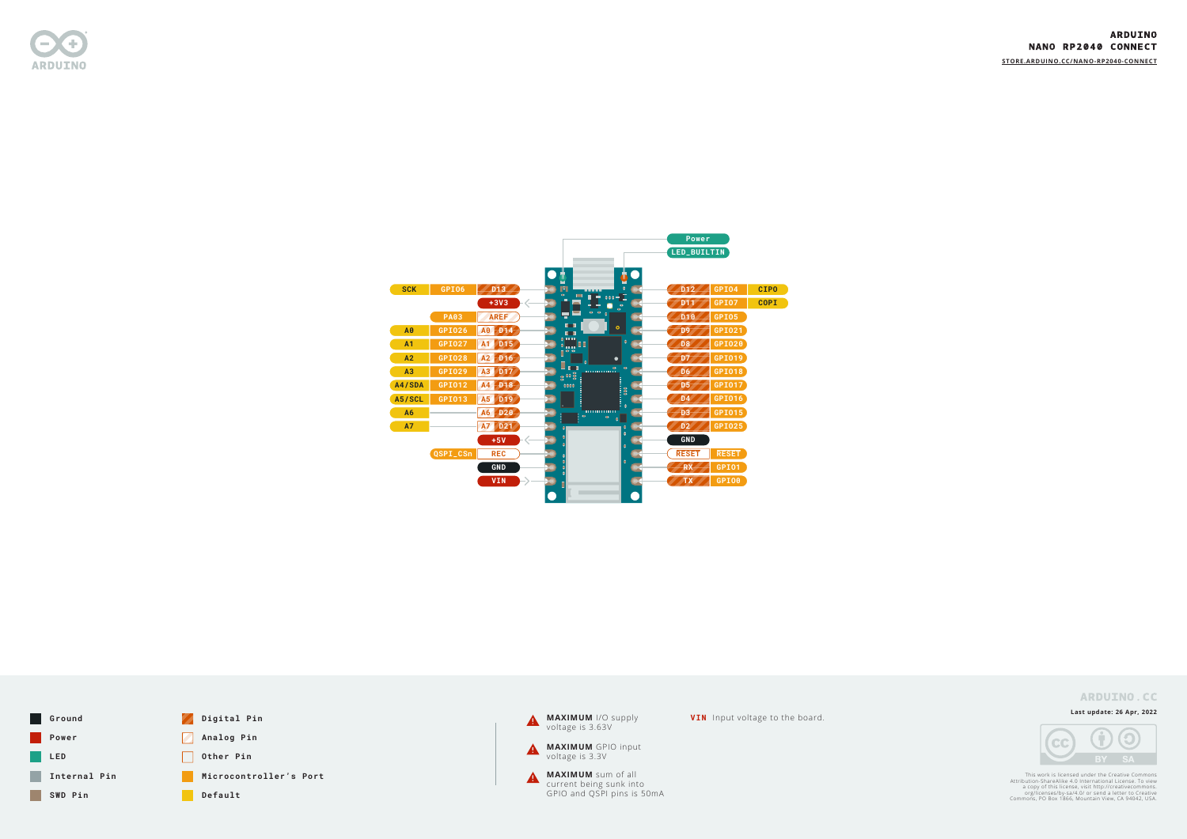

**Last update: 26 Apr, 2022**



This work is licensed under the Creative Commons<br>Attribution-ShareAlike 4.0 International License. To view<br>a copy of this license, visit http://creativecommons.<br>org/licenses/by-sa/4.0/ or send a letter to Creative<br>Commons,



**VIN** Input voltage to the board.

#### **ARDUINO** NANO RP2040 CONNECT

**[STORE.ARDUINO.CC/N](https://store.arduino.cc/nano-rp2040-connect)ANO-RP2040-CONNECT**





|                                  |                                |                                                |                                                            |                          | Power<br>LED_BUILTIN                                        |             |  |  |  |
|----------------------------------|--------------------------------|------------------------------------------------|------------------------------------------------------------|--------------------------|-------------------------------------------------------------|-------------|--|--|--|
| <b>SCK</b>                       | <b>GPI06</b>                   | D <sub>13</sub>                                | ₱<br>н<br>n<br>$\bullet$                                   |                          | D <sub>12</sub><br>GPI04                                    | <b>CIPO</b> |  |  |  |
|                                  | <b>PA03</b>                    | $+3V3$<br><b>AREF</b>                          | $\cdots$ $\Box$<br>П<br>÷<br>$\mathbf{Q}=\mathbf{Q}$<br>П  | <b>AP</b>                | <b>GPI07</b><br><b>D11</b><br>GPI05<br>D <sub>10</sub>      | <b>COPI</b> |  |  |  |
| A <sub>0</sub><br>A <sub>1</sub> | <b>GPI026</b><br><b>GPI027</b> | D14<br>A0<br>D <sub>15</sub><br>A <sub>1</sub> | <b>THE</b><br>$\blacksquare$<br>0.1111                     | $\circ$<br>٠             | GPI021<br>D <sub>9</sub><br>GPI020<br>D <sub>8</sub>        |             |  |  |  |
| A2<br>A3                         | <b>GPI028</b><br>GPI029        | D <sub>16</sub><br>A2<br>A3<br>D <sub>17</sub> | $\frac{1}{2}$ eg $\frac{1}{2}$<br>$\bullet$<br>D<br>ю      | <b>GID</b>               | GPI019<br>D <sub>7</sub><br><b>GPI018</b><br>D <sub>6</sub> |             |  |  |  |
| A4/SDA<br>A5/SCL                 | GPI012<br><b>GPI013</b>        | A4<br>D <sub>18</sub><br>A5<br>D <sub>19</sub> | 3.063<br>eeee                                              | ------------<br>--<br>-- | GPI017<br>D <sub>5</sub><br>GPI016<br><b>D4</b>             |             |  |  |  |
| A <sub>6</sub><br><b>A7</b>      |                                | D20<br>A6<br><b>A7</b><br>D <sub>21</sub>      | ٠<br><u> 11111111111111</u><br>$\bullet$<br>$\bullet$<br>Ê | e<br>٥                   | GPI015<br>D <sub>3</sub><br><b>GPI025</b><br><b>D2</b>      |             |  |  |  |
|                                  | QSPI_CSn                       | $+5V$<br><b>REC</b>                            |                                                            | é<br>ė                   | <b>GND</b><br><b>RESET</b><br><b>RESET</b>                  |             |  |  |  |
|                                  |                                | <b>GND</b>                                     |                                                            | ٠                        | <b>RX</b><br>GPI01<br>GPI00<br><b>TX</b>                    |             |  |  |  |
|                                  |                                | <b>VIN</b>                                     | ī                                                          |                          |                                                             |             |  |  |  |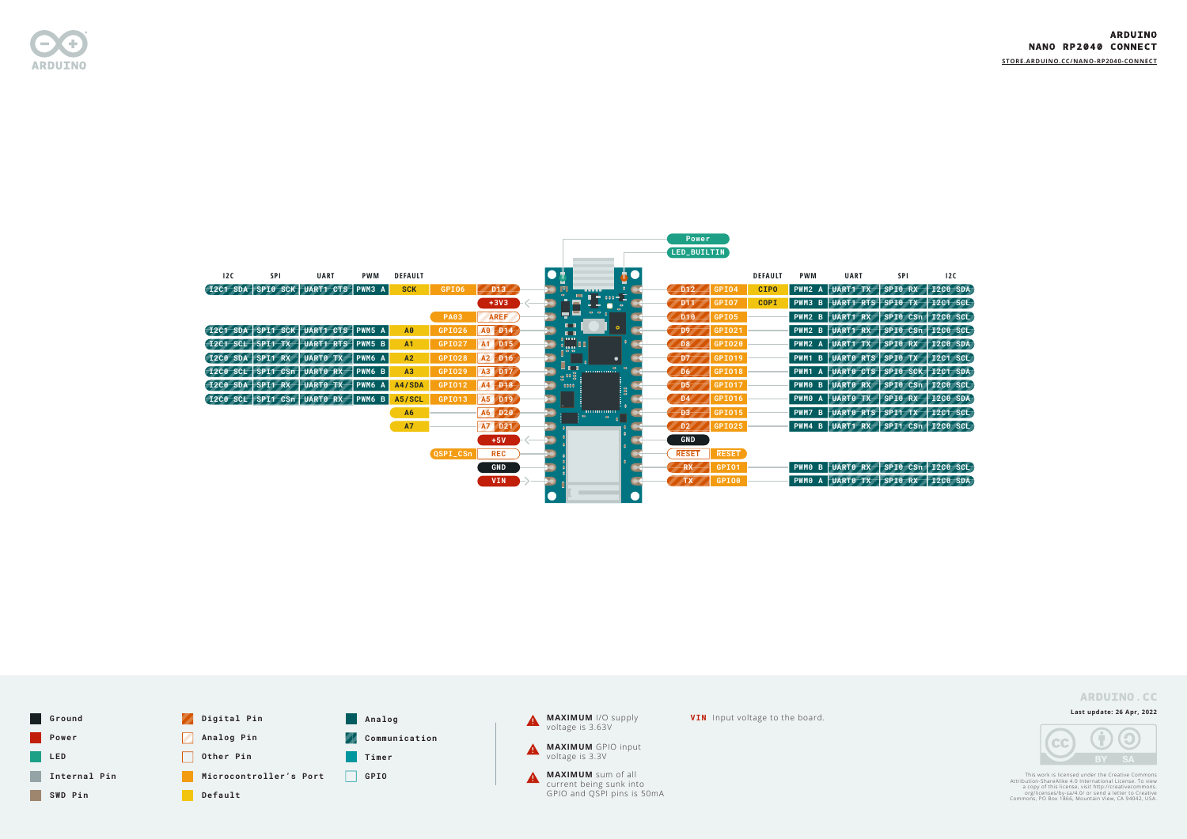

**Last update: 26 Apr, 2022**



This work is licensed under the Creative Commons<br>Attribution-ShareAlike 4.0 International License. To view<br>a copy of this license, visit http://creativecommons.<br>org/licenses/by-sa/4.0/ or send a letter to Creative<br>Commons,

**[STORE.ARDUINO.CC/N](https://store.arduino.cc/nano-rp2040-connect)ANO-RP2040-CONNECT**

#### **ARDUINO.CC**



|     |     |                                        |               |                |               |                 |             |                                       |               | Power                           |                |            |                                    |            |          |
|-----|-----|----------------------------------------|---------------|----------------|---------------|-----------------|-------------|---------------------------------------|---------------|---------------------------------|----------------|------------|------------------------------------|------------|----------|
|     |     |                                        |               |                |               |                 |             |                                       |               | LED_BUILTIN                     |                |            |                                    |            |          |
|     |     |                                        |               |                |               |                 |             |                                       |               |                                 |                |            |                                    |            |          |
| 12C | SPI | <b>UART</b>                            | <b>PWM</b>    | <b>DEFAULT</b> |               |                 |             |                                       | <b>AC</b>     |                                 | <b>DEFAULT</b> | <b>PWM</b> | <b>UART</b>                        | <b>SPI</b> | 12C      |
|     |     | 12C1 SDA SPI0 SCK UART1 CTS            | <b>PWM3 A</b> | <b>SCK</b>     | GPI06         | D <sub>13</sub> |             |                                       | м             | <b>GPI04</b><br>D <sub>12</sub> | <b>CIPO</b>    |            | <b>PWM2 A UART1 TX</b>             | SPIO RX    | I2C0 SDA |
|     |     |                                        |               |                |               | $+3V3$          |             | $\blacksquare = 00 - 1$               | <b>P</b>      | <b>GPI07</b><br>D <sub>11</sub> | <b>COPI</b>    | $ $ PWM3 B | UART1 RTS SPI0 TX 12C1 SCL         |            |          |
|     |     |                                        |               |                | <b>PA03</b>   | <b>AREF</b>     |             |                                       |               | GPI05<br>D <sub>10</sub>        |                | PWM2 B     | UART1 RX SPIO CSn 12CO SCL         |            |          |
|     |     | I2C1 SDA SPI1 SCK UART1 CTS PWM5 A     |               | A0             | GPI026        | A0 D14          |             | $\blacksquare$                        | $\circ$       | GPI021                          |                |            | PWM2 B UART1 RX SPI0 CSn 12C0 SCL  |            |          |
|     |     | [I2C1 SCL SPI1 TX   UART1 RTS   PWM5 B |               | A1             | <b>GPI027</b> | A1 D15          |             | <b>P</b>                              |               | GPI020<br>D <sub>8</sub>        |                |            | PWM2 A UART1 TX SPI0 RX 12C0 SDA   |            |          |
|     |     | I2C0 SDA SPI1 RX UARTO TX PWM6 A       |               | A2             | <b>GPI028</b> | A2 D16          |             |                                       | $\bullet$     | GPI019<br>D7                    |                |            | PWM1 B UARTO RTS SPIO TX 12C1 SCL  |            |          |
|     |     | I2C0 SCL SPI1 CSn UART0 RX PWM6 B      |               | A3             | <b>GPI029</b> | A3 D17          |             | l o<br><b>THURSDAY</b><br><b>Busy</b> | $\Phi = \Phi$ | <b>GPI018</b><br>D <sub>6</sub> |                |            | PWM1 A UARTO CTS SPIO SCK 12C1 SDA |            |          |
|     |     | <b>I2C0 SDA SPI1 RX UART0 TX</b>       | PWM6 A        | A4/SDA         | GPI012        | A4 D18          | <b>eees</b> |                                       | į\$           | GPI017<br>D <sub>5</sub>        |                |            | PWM0 B UART0 RX SPI0 CSn 12C0 SCL  |            |          |
|     |     | 12C0 SCL SPI1 CSn UART0 RX             | PWM6 B        | A5/SCL         | GPI013        | A5 D19          |             |                                       |               | GPI016<br>D <sub>4</sub>        |                |            | PWM0 A UART0 TX SPI0 RX 12C0 SDA   |            |          |
|     |     |                                        |               | <b>A6</b>      |               | A6 D20          |             | $\blacksquare$<br>$\bullet$           |               | GPI015<br>D3                    |                |            | PWM7 B UARTO RTS SPI1 TX 12C1 SCL  |            |          |
|     |     |                                        |               | <b>A7</b>      |               | A7 D21          |             |                                       |               | <b>GPI025</b><br>D2             |                |            | PWM4 B UART1 RX SPI1 CSn 12C0 SCL  |            |          |
|     |     |                                        |               |                |               | $+5V$           |             |                                       |               | <b>GND</b>                      |                |            |                                    |            |          |
|     |     |                                        |               |                | QSPI_CSn      | <b>REC</b>      |             |                                       |               | RESET<br><b>RESET</b>           |                |            |                                    |            |          |
|     |     |                                        |               |                |               | <b>GND</b>      |             |                                       |               | GPI01<br><b>RX</b>              |                |            | PWM0 B UART0 RX SPI0 CSn 12C0 SCL  |            |          |
|     |     |                                        |               |                |               | <b>VIN</b>      |             |                                       |               | GPI00                           |                |            | PWM0 A UART0 TX SPI0 RX 12C0 SDA   |            |          |
|     |     |                                        |               |                |               |                 |             |                                       |               |                                 |                |            |                                    |            |          |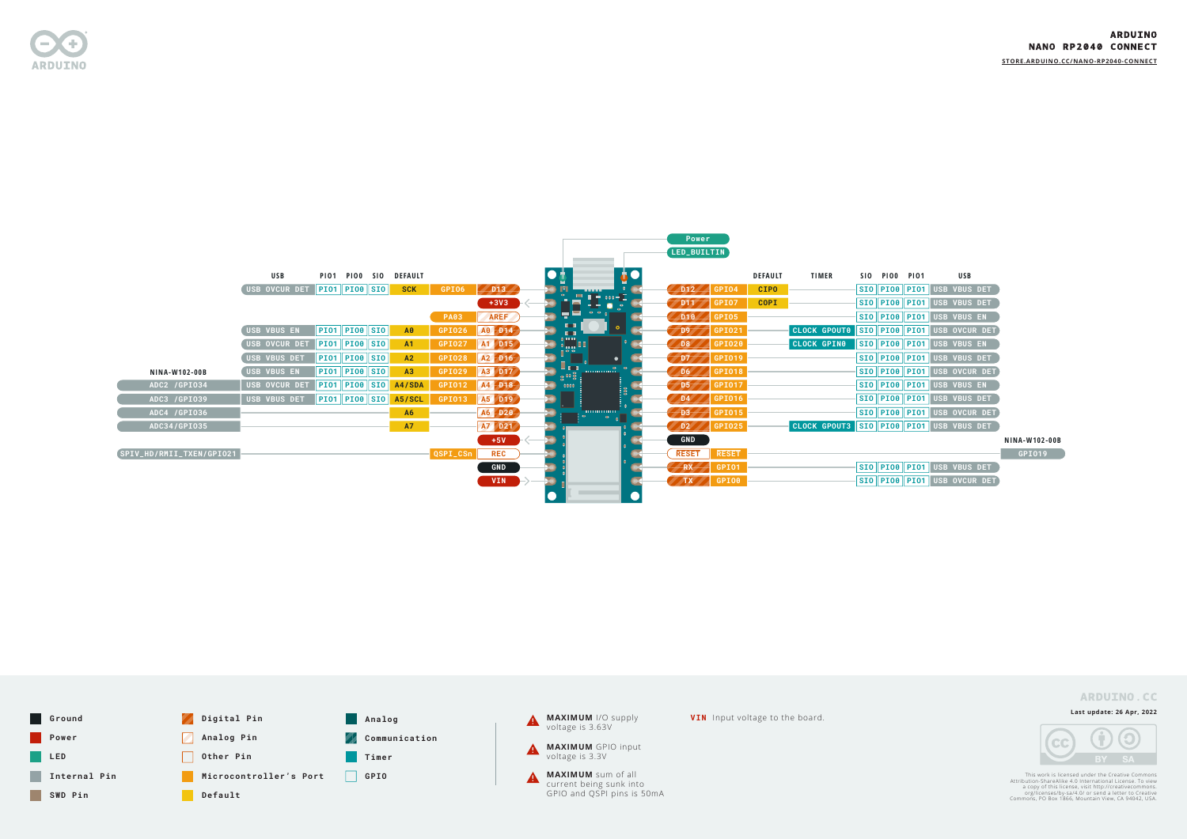

**Last update: 26 Apr, 2022**



This work is licensed under the Creative Commons<br>Attribution-ShareAlike 4.0 International License. To view<br>a copy of this license, visit http://creativecommons.<br>org/licenses/by-sa/4.0/ or send a letter to Creative<br>Commons,

**[STORE.ARDUINO.CC/N](https://store.arduino.cc/nano-rp2040-connect)ANO-RP2040-CONNECT**



|                          |                             |                                                      |                       |             |            |                                          |         | $1 \cup w = 1$                            |                |                                          |                      |                                     |
|--------------------------|-----------------------------|------------------------------------------------------|-----------------------|-------------|------------|------------------------------------------|---------|-------------------------------------------|----------------|------------------------------------------|----------------------|-------------------------------------|
|                          |                             |                                                      |                       |             |            |                                          |         | LED_BUILTIN                               |                |                                          |                      |                                     |
|                          | USB                         |                                                      | PIO1 PIO0 SIO DEFAULT |             |            |                                          |         |                                           | <b>DEFAULT</b> | <b>TIMER</b>                             | <b>SIO PIOO PIO1</b> | USB                                 |
|                          | USB OVCUR DET PIO1 PIO8 SIO |                                                      | <b>SCK</b>            | GPI06       | DD13       |                                          |         | GPI04<br>DD12                             | <b>CIPO</b>    |                                          |                      | SIO PIO8 PIO1 USB VBUS DET          |
|                          |                             |                                                      |                       |             | $+3V3$     | $\blacksquare$ = $\cdots$ $\blacksquare$ |         | GPI07<br>DD11                             | <b>COPI</b>    |                                          |                      | SIO PIO8 PIO1 USB VBUS DET          |
|                          |                             |                                                      |                       | <b>PA03</b> | AREF       |                                          |         | $ $ GPI05<br>DD10                         |                |                                          |                      | SIO PIO8 PIO1 USB VBUS EN           |
|                          | USB VBUS EN                 | PIO1  PIO0  SIO                                      | A0                    | GPI026      | A0 D14     | $\blacksquare$                           | $\circ$ | GPI021<br>DD9 <sub>2</sub>                |                | CLOCK GPOUTO SIO PIOO PIO1 USB OVCUR DET |                      |                                     |
|                          | <b>USB OVCUR DET</b>        | $\boxed{\mathsf{PIO1}\ \mathsf{PIO0}\ \mathsf{SIO}}$ | A1                    | GPI027      | A1 D15     | <b>I</b>                                 |         | GPI020<br>DB                              |                | <b>CLOCK GPIN0</b>                       |                      | SIO PIO8 PIO1 USB VBUS EN           |
|                          | USB VBUS DET                | $PIO1$ $PIO0$ $SIO$                                  | A2                    | GPI028      | A2 D16     | $= 0 0$<br>$\bullet$                     |         | GPI019<br>D7                              |                |                                          |                      | SIO PIO8 PIO1 USB VBUS DET          |
| <b>NINA-W102-00B</b>     | <b>USB VBUS EN</b>          | $\vert$ PI01 $\Vert$ PI00 $\Vert$ SI0 $\vert$        | A3                    | GPI029      | A3 D17     | <br>$\frac{1}{8}$ or $\frac{1}{8}$ .     |         | $\sqrt{\frac{6}{1010}}$<br>DD6            |                |                                          |                      | SIO PIO8 PIO1 USB OVCUR DET         |
| ADC2 /GPI034             | <b>USB OVCUR DET</b>        | PIO1    PIO0    SIO                                  | A4/SDA                | GPI012      | A4 D18     | <b>eeee</b>                              | i8<br>! | GPI017<br>$\sqrt{D5}$                     |                |                                          |                      | SIO PIO8 PIO1 USB VBUS EN           |
| ADC3 /GPI039             | USB VBUS DET                | $\ $ PI01 $\ $ PI00 $\ $ SI0 $\ $                    | A5/SCL                | GPI013      | A5 D19     |                                          |         | $\sqrt{\text{GPI016}}$<br>$\overline{D4}$ |                |                                          |                      | SIO PIO8 PIO1 USB VBUS DET          |
| ADC4 /GPI036             |                             |                                                      | <b>A6</b>             |             | A6 D20     | <u>1000000000</u>                        |         | $\sqrt{D3}$<br>$\sqrt{\frac{6}{10}}$      |                |                                          |                      | SIO PIO8 PIO1 USB OVCUR DET         |
| ADC34/GPI035             |                             |                                                      | <b>A7</b>             |             | A7 D21     |                                          |         | D2<br>GPI025                              |                | CLOCK GPOUT3 SIO PIO8 PIO1 USB VBUS DET  |                      |                                     |
|                          |                             |                                                      |                       |             | $+5V$      |                                          |         | GND                                       |                |                                          |                      |                                     |
| SPIV_HD/RMII_TXEN/GPI021 |                             |                                                      |                       | QSPI_CSn    | <b>REC</b> |                                          |         | <b>RESET</b><br><b>RESET</b>              |                |                                          |                      |                                     |
|                          |                             |                                                      |                       |             | <b>GND</b> |                                          |         | <b>GPI01</b><br>RX                        |                |                                          |                      | $\sqrt{310}$ PIO0 PIO1 USB VBUS DET |
|                          |                             |                                                      |                       |             | <b>VIN</b> |                                          |         | GPI00<br>TX                               |                |                                          |                      | SIO PIOO PIO1 USB OVCUR DET         |
|                          |                             |                                                      |                       |             |            |                                          |         |                                           |                |                                          |                      |                                     |

**Power** 

**NINA-W102-00B**

**GPIO19**

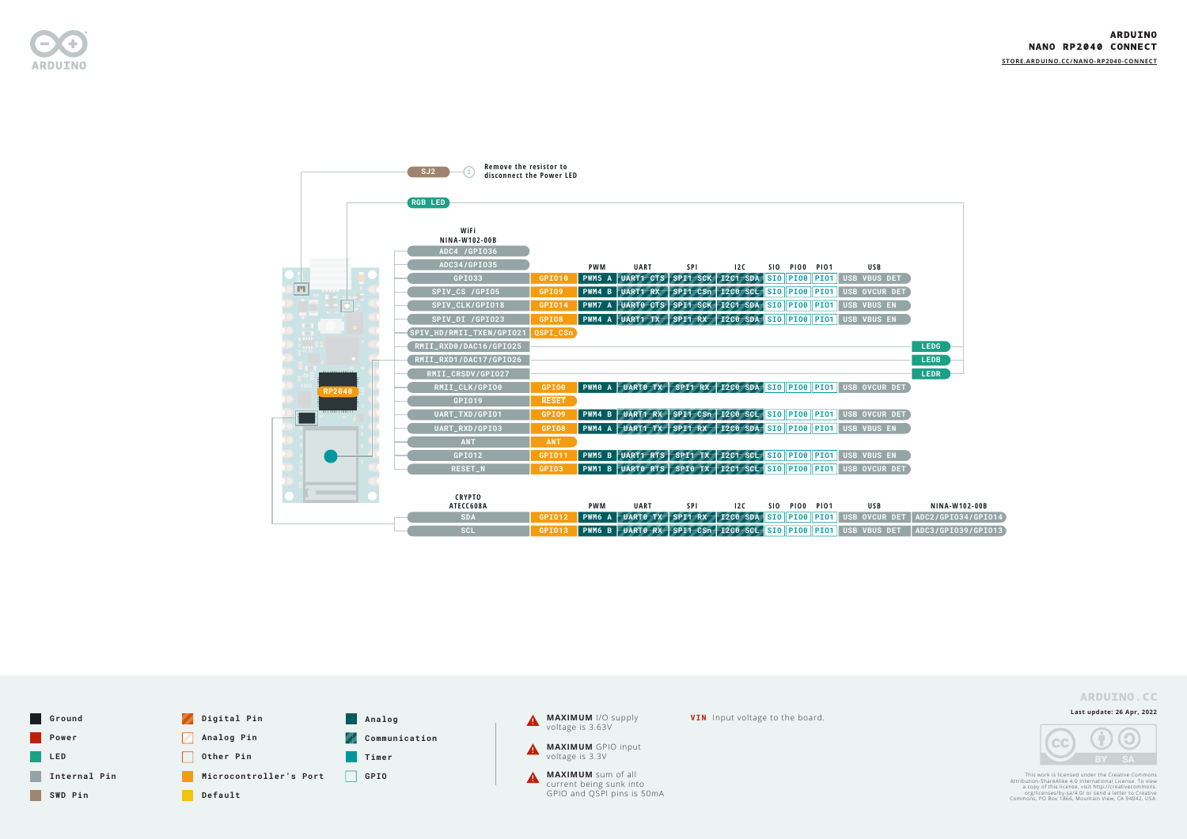

**Last update: 26 Apr, 2022**



This work is licensed under the Creative Commons<br>Attribution-ShareAlike 4.0 International License. To view<br>a copy of this license, visit http://creativecommons.<br>org/licenses/by-sa/4.0/ or send a letter to Creative<br>Commons,

**[STORE.ARDUINO.CC/N](https://store.arduino.cc/nano-rp2040-connect)ANO-RP2040-CONNECT**



#### **ARDUINO.CC**



|                | Remove the resistor to<br>SJ2<br>disconnect the Power LED |               |            |                                                        |                                 |                          |            |                            |                                                               |                      |
|----------------|-----------------------------------------------------------|---------------|------------|--------------------------------------------------------|---------------------------------|--------------------------|------------|----------------------------|---------------------------------------------------------------|----------------------|
|                | <b>RGB LED</b>                                            |               |            |                                                        |                                 |                          |            |                            |                                                               |                      |
|                | WiFi<br>NINA-W102-00B                                     |               |            |                                                        |                                 |                          |            |                            |                                                               |                      |
|                | ADC4 /GPI036                                              |               |            |                                                        |                                 |                          |            |                            |                                                               |                      |
|                | ADC34/GPI035                                              |               | <b>PWM</b> | <b>UART</b>                                            | <b>SPI</b>                      | 12C                      | <b>SIO</b> | <b>PIO0</b><br><b>PIO1</b> | <b>USB</b>                                                    |                      |
| $\blacksquare$ | GPI033                                                    | GPI010        | PWM5 A     | UART1 CTS                                              | SPI1 SCK 12C1 SDA SIO PIO8 PIO1 |                          |            |                            | USB VBUS DET                                                  |                      |
|                | SPIV_CS /GPI05                                            | GPI09         |            | PWM4 B UART1 RX                                        | SPI1 CSn 12C0 SCL SIO PI00 PI01 |                          |            |                            | <b>USB OVCUR DET</b>                                          |                      |
|                | SPIV_CLK/GPI018                                           | <b>GPI014</b> |            | PWM7 A UARTO CTS SPI1 SCK 12C1 SDA SIO PIOO PIO1       |                                 |                          |            |                            | <b>USB VBUS EN</b>                                            |                      |
| O              | SPIV_DI /GPI023                                           | GPI08         |            | PWM4 A UART1 TX                                        | SPI1 RX 12C0 SDA SIO PI00 PI01  |                          |            |                            | <b>USB VBUS EN</b>                                            |                      |
| ŗ,             | SPIV_HD/RMII_TXEN/GPI021                                  | QSPI_CSn      |            |                                                        |                                 |                          |            |                            |                                                               |                      |
| $\bullet$ and  | RMII_RXD0/DAC16/GPI025                                    |               |            |                                                        |                                 |                          |            |                            |                                                               | <b>LEDG</b>          |
|                | RMII_RXD1/DAC17/GPI026                                    |               |            |                                                        |                                 |                          |            |                            |                                                               | <b>LEDB</b>          |
| .              | RMII_CRSDV/GPI027                                         |               |            |                                                        |                                 |                          |            |                            |                                                               | <b>LEDR</b>          |
| <b>RP2040</b>  | RMII_CLK/GPI00                                            | GPI00         |            | PWM0 A UART0 TX                                        |                                 |                          |            |                            | SPI1 RX 12C0 SDA SIO PI00 PI01 USB OVCUR DET                  |                      |
|                | GPI019                                                    | <b>RESET</b>  |            |                                                        |                                 |                          |            |                            |                                                               |                      |
|                | UART_TXD/GPI01                                            | GPI09         |            |                                                        |                                 |                          |            |                            | PWM4 B UART1 RX SPI1 CSn 12C0 SCL SIO PI00 PI01 USB OVCUR DET |                      |
|                | UART_RXD/GPI03                                            | GPI08         |            |                                                        |                                 |                          |            |                            | PWM4 A UART1 TX SPI1 RX 12C0 SDA SIO PIO0 PIO1 USB VBUS EN    |                      |
|                | <b>ANT</b>                                                | <b>ANT</b>    |            |                                                        |                                 |                          |            |                            |                                                               |                      |
|                | GPI012                                                    | GPI011        |            |                                                        |                                 |                          |            |                            | PWM5 B UART1 RTS SPI1 TX 12C1 SCL SIO PI08 PI01 USB VBUS EN   |                      |
|                | <b>RESET_N</b>                                            | GPI03         |            | <b>PWM1 B UART0 RTS SPI0 TX 12C1 SCL SIO PIO8 PIO1</b> |                                 |                          |            |                            | USB OVCUR DET                                                 |                      |
|                |                                                           |               |            |                                                        |                                 |                          |            |                            |                                                               |                      |
|                | <b>CRYPTO</b>                                             |               |            |                                                        |                                 |                          |            |                            |                                                               |                      |
|                | ATECC608A                                                 |               | <b>PWM</b> | <b>UART</b>                                            | SPI                             | 12C                      | <b>SIO</b> | <b>PIOO PIO1</b>           | <b>USB</b>                                                    | <b>NINA-W102-00B</b> |
|                | <b>SDA</b>                                                | GPI012        | PWM6 A     | <b>UARTO TX</b>                                        | SPI1 RX                         | $12C0$ SDA SIO PIO0 PIO1 |            |                            | USB OVCUR DET                                                 | ADC2/GPI034/GPI014   |
|                | <b>SCL</b>                                                | <b>GPI013</b> | PWM6 B     | <b>UARTO RX</b>                                        | SPI1 CSn 12C0 SCL SIO PI00 PI01 |                          |            |                            | <b>USB VBUS DET</b>                                           | ADC3/GPI039/GPI013   |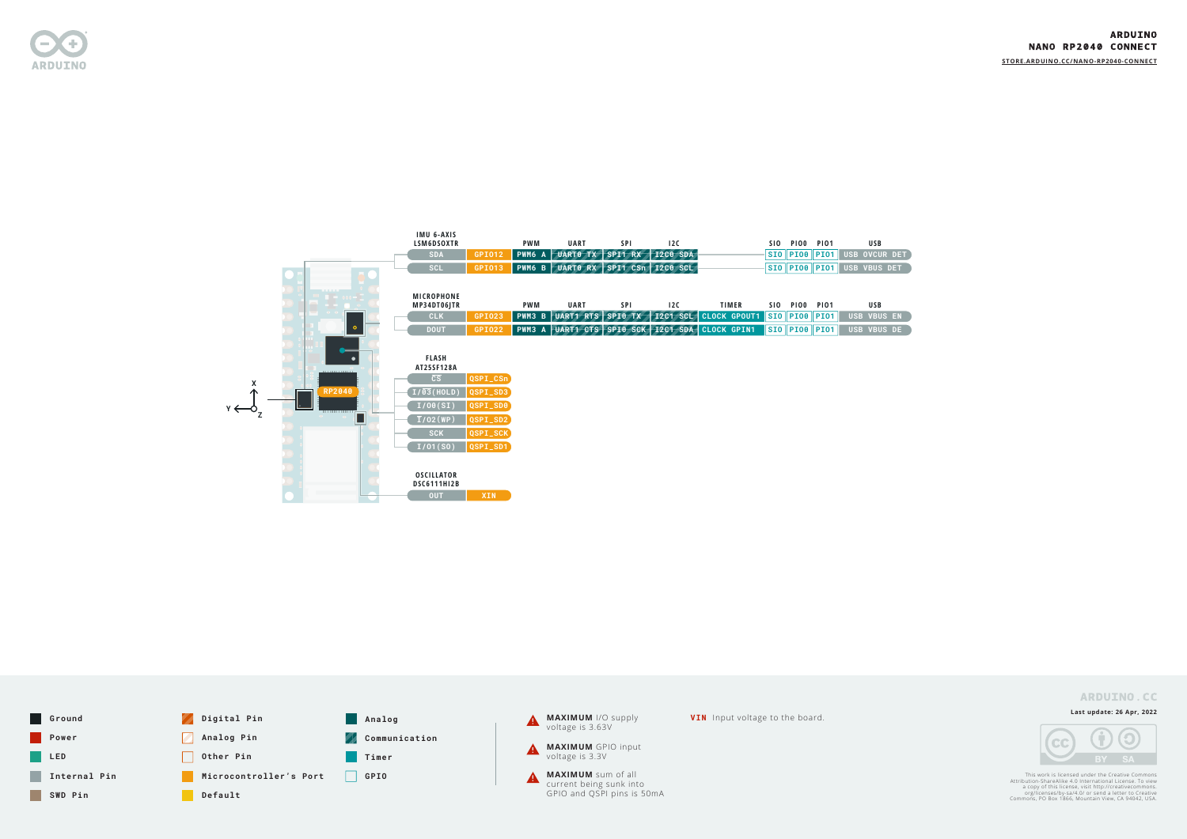

**Last update: 26 Apr, 2022**



This work is licensed under the Creative Commons<br>Attribution-ShareAlike 4.0 International License. To view<br>a copy of this license, visit http://creativecommons.<br>org/licenses/by-sa/4.0/ or send a letter to Creative<br>Commons,

**[STORE.ARDUINO.CC/N](https://store.arduino.cc/nano-rp2040-connect)ANO-RP2040-CONNECT**

#### **ARDUINO.CC**